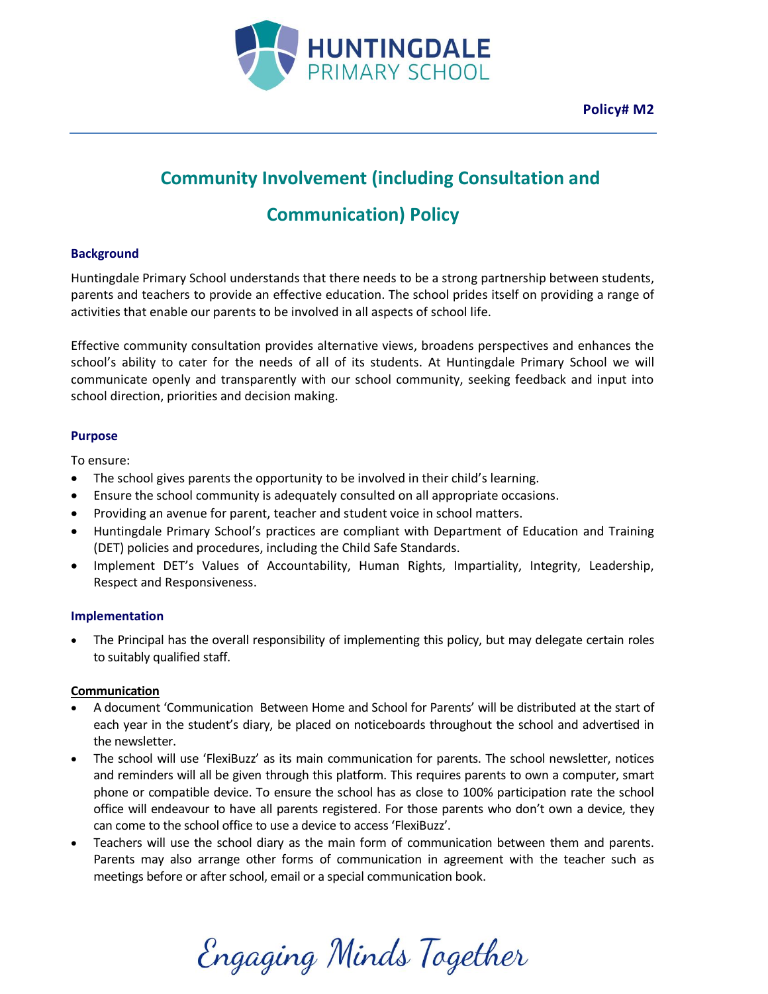

## **Community Involvement (including Consultation and**

# **Communication) Policy**

## **Background**

Huntingdale Primary School understands that there needs to be a strong partnership between students, parents and teachers to provide an effective education. The school prides itself on providing a range of activities that enable our parents to be involved in all aspects of school life.

Effective community consultation provides alternative views, broadens perspectives and enhances the school's ability to cater for the needs of all of its students. At Huntingdale Primary School we will communicate openly and transparently with our school community, seeking feedback and input into school direction, priorities and decision making.

#### **Purpose**

To ensure:

- The school gives parents the opportunity to be involved in their child's learning.
- Ensure the school community is adequately consulted on all appropriate occasions.
- Providing an avenue for parent, teacher and student voice in school matters.
- Huntingdale Primary School's practices are compliant with Department of Education and Training (DET) policies and procedures, including the Child Safe Standards.
- Implement DET's Values of Accountability, Human Rights, Impartiality, Integrity, Leadership, Respect and Responsiveness.

#### **Implementation**

• The Principal has the overall responsibility of implementing this policy, but may delegate certain roles to suitably qualified staff.

#### **Communication**

- A document 'Communication Between Home and School for Parents' will be distributed at the start of each year in the student's diary, be placed on noticeboards throughout the school and advertised in the newsletter.
- The school will use 'FlexiBuzz' as its main communication for parents. The school newsletter, notices and reminders will all be given through this platform. This requires parents to own a computer, smart phone or compatible device. To ensure the school has as close to 100% participation rate the school office will endeavour to have all parents registered. For those parents who don't own a device, they can come to the school office to use a device to access 'FlexiBuzz'.
- Teachers will use the school diary as the main form of communication between them and parents. Parents may also arrange other forms of communication in agreement with the teacher such as meetings before or after school, email or a special communication book.

Engaging Minds Together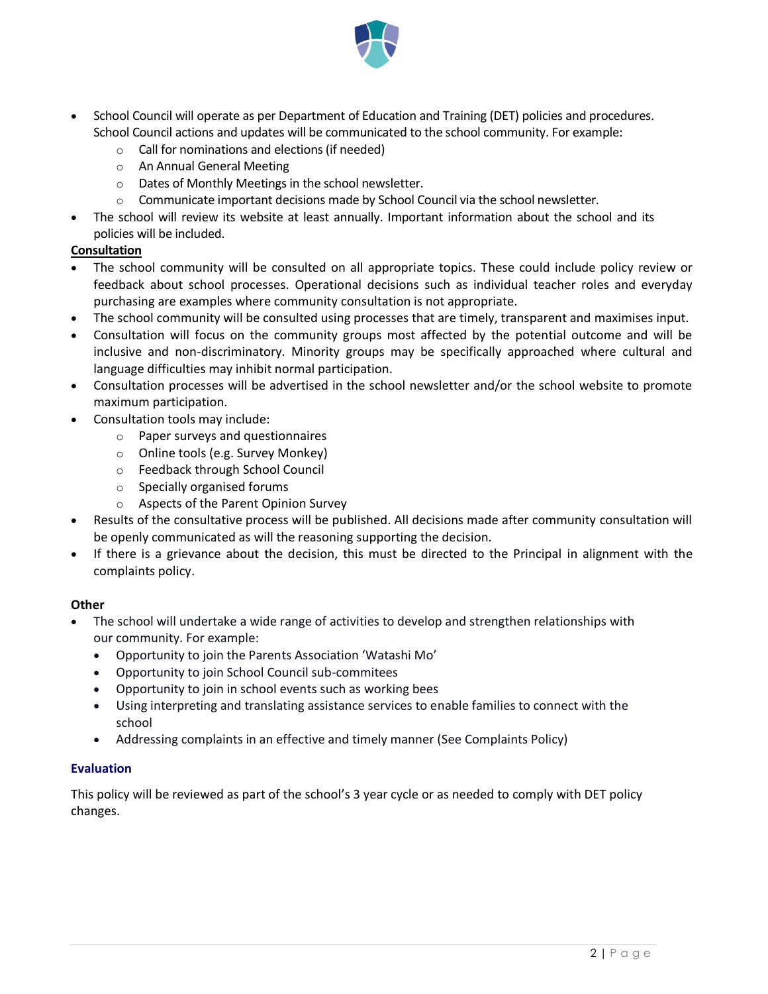

- School Council will operate as per Department of Education and Training (DET) policies and procedures. School Council actions and updates will be communicated to the school community. For example:
	- o Call for nominations and elections (if needed)
	- o An Annual General Meeting
	- o Dates of Monthly Meetings in the school newsletter.
	- $\circ$  Communicate important decisions made by School Council via the school newsletter.
- The school will review its website at least annually. Important information about the school and its policies will be included.

#### **Consultation**

- The school community will be consulted on all appropriate topics. These could include policy review or feedback about school processes. Operational decisions such as individual teacher roles and everyday purchasing are examples where community consultation is not appropriate.
- The school community will be consulted using processes that are timely, transparent and maximises input.
- Consultation will focus on the community groups most affected by the potential outcome and will be inclusive and non-discriminatory. Minority groups may be specifically approached where cultural and language difficulties may inhibit normal participation.
- Consultation processes will be advertised in the school newsletter and/or the school website to promote maximum participation.
- Consultation tools may include:
	- o Paper surveys and questionnaires
	- o Online tools (e.g. Survey Monkey)
	- o Feedback through School Council
	- o Specially organised forums
	- o Aspects of the Parent Opinion Survey
- Results of the consultative process will be published. All decisions made after community consultation will be openly communicated as will the reasoning supporting the decision.
- If there is a grievance about the decision, this must be directed to the Principal in alignment with the complaints policy.

#### **Other**

- The school will undertake a wide range of activities to develop and strengthen relationships with our community. For example:
	- Opportunity to join the Parents Association 'Watashi Mo'
	- Opportunity to join School Council sub-commitees
	- Opportunity to join in school events such as working bees
	- Using interpreting and translating assistance services to enable families to connect with the school
	- Addressing complaints in an effective and timely manner (See Complaints Policy)

#### **Evaluation**

This policy will be reviewed as part of the school's 3 year cycle or as needed to comply with DET policy changes.